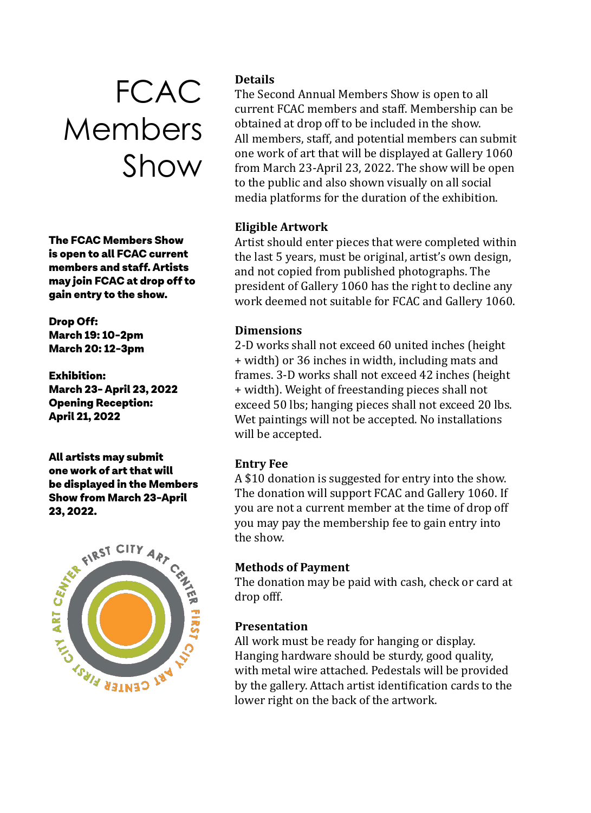# FCAC Members Show

The FCAC Members Show is open to all FCAC current members and staff. Artists may join FCAC at drop off to gain entry to the show.

Drop Off: March 19: 10-2pm March 20: 12-3pm

Exhibition: March 23- April 23, 2022 Opening Reception: April 21, 2022

All artists may submit one work of art that will be displayed in the Members Show from March 23-April



# **Details**

The Second Annual Members Show is open to all current FCAC members and staff. Membership can be obtained at drop off to be included in the show. All members, staff, and potential members can submit one work of art that will be displayed at Gallery 1060 from March 23-April 23, 2022. The show will be open to the public and also shown visually on all social media platforms for the duration of the exhibition.

## **Eligible Artwork**

Artist should enter pieces that were completed within the last 5 years, must be original, artist's own design, and not copied from published photographs. The president of Gallery 1060 has the right to decline any work deemed not suitable for FCAC and Gallery 1060.

#### **Dimensions**

2-D works shall not exceed 60 united inches (height + width) or 36 inches in width, including mats and frames. 3-D works shall not exceed 42 inches (height + width). Weight of freestanding pieces shall not exceed 50 lbs; hanging pieces shall not exceed 20 lbs. Wet paintings will not be accepted. No installations will be accepted.

#### **Entry Fee**

A \$10 donation is suggested for entry into the show. The donation will support FCAC and Gallery 1060. If you are not a current member at the time of drop off you may pay the membership fee to gain entry into the show.

#### **Methods of Payment**

The donation may be paid with cash, check or card at drop offf.

## **Presentation**

All work must be ready for hanging or display. Hanging hardware should be sturdy, good quality, with metal wire attached. Pedestals will be provided by the gallery. Attach artist identification cards to the lower right on the back of the artwork.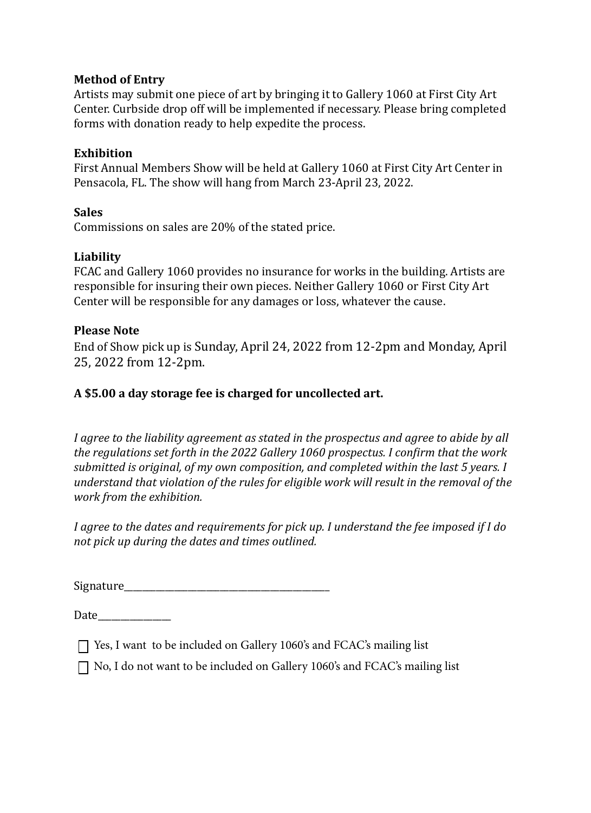#### **Method of Entry**

Artists may submit one piece of art by bringing it to Gallery 1060 at First City Art Center. Curbside drop off will be implemented if necessary. Please bring completed forms with donation ready to help expedite the process.

#### **Exhibition**

First Annual Members Show will be held at Gallery 1060 at First City Art Center in Pensacola, FL. The show will hang from March 23-April 23, 2022.

#### **Sales**

Commissions on sales are 20% of the stated price.

#### **Liability**

FCAC and Gallery 1060 provides no insurance for works in the building. Artists are responsible for insuring their own pieces. Neither Gallery 1060 or First City Art Center will be responsible for any damages or loss, whatever the cause.

#### **Please Note**

End of Show pick up is Sunday, April 24, 2022 from 12-2pm and Monday, April 25, 2022 from 12-2pm.

#### **A \$5.00 a day storage fee is charged for uncollected art.**

*I agree to the liability agreement as stated in the prospectus and agree to abide by all the regulations set forth in the 2022 Gallery 1060 prospectus. I confirm that the work submitted is original, of my own composition, and completed within the last 5 years. I understand that violation of the rules for eligible work will result in the removal of the work from the exhibition.* 

*I agree to the dates and requirements for pick up. I understand the fee imposed if I do not pick up during the dates and times outlined.* 

Signature\_\_\_\_\_\_\_\_\_\_\_\_\_\_\_\_\_\_\_\_\_\_\_\_\_\_\_\_\_\_\_\_\_\_\_\_\_\_\_\_\_\_\_\_\_

Date\_\_\_\_\_\_\_\_\_\_\_\_\_\_\_\_

 $\Box$  Yes, I want to be included on Gallery 1060's and FCAC's mailing list

 $\Box$  No, I do not want to be included on Gallery 1060's and FCAC's mailing list